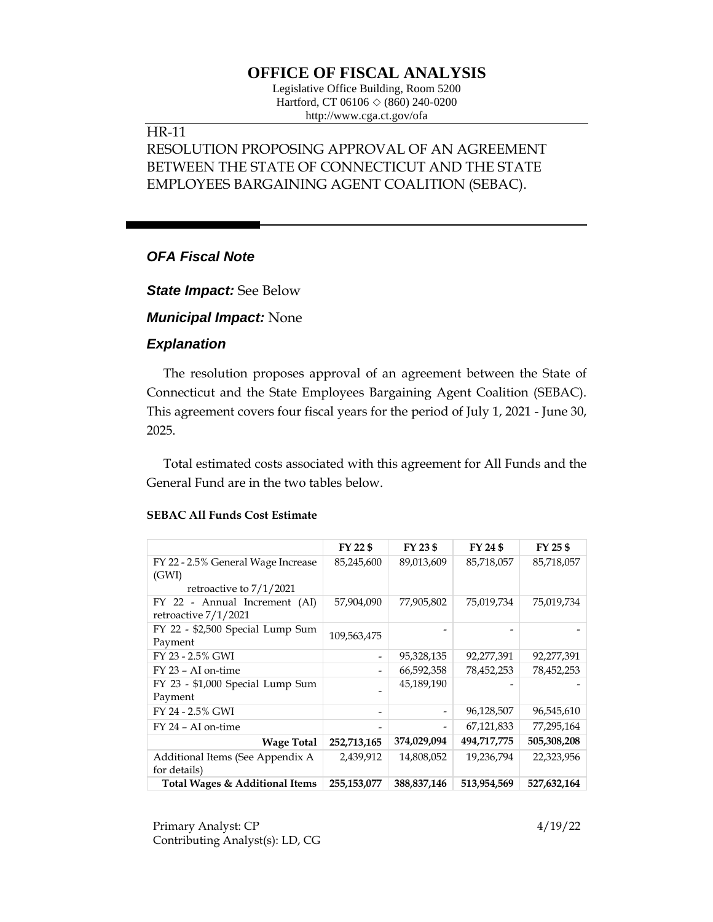# **OFFICE OF FISCAL ANALYSIS**

Legislative Office Building, Room 5200 Hartford, CT 06106  $\Diamond$  (860) 240-0200 http://www.cga.ct.gov/ofa

## HR-11

# RESOLUTION PROPOSING APPROVAL OF AN AGREEMENT BETWEEN THE STATE OF CONNECTICUT AND THE STATE EMPLOYEES BARGAINING AGENT COALITION (SEBAC).

## *OFA Fiscal Note*

*State Impact:* See Below

*Municipal Impact:* None

## *Explanation*

The resolution proposes approval of an agreement between the State of Connecticut and the State Employees Bargaining Agent Coalition (SEBAC). This agreement covers four fiscal years for the period of July 1, 2021 - June 30, 2025.

Total estimated costs associated with this agreement for All Funds and the General Fund are in the two tables below.

|                                    | FY 22 \$       | FY 23 \$                 | FY 24 \$    | FY 25 \$    |
|------------------------------------|----------------|--------------------------|-------------|-------------|
| FY 22 - 2.5% General Wage Increase | 85,245,600     | 89,013,609               | 85,718,057  | 85,718,057  |
| (GWI)                              |                |                          |             |             |
| retroactive to $7/1/2021$          |                |                          |             |             |
| FY 22 - Annual Increment (AI)      | 57,904,090     | 77,905,802               | 75,019,734  | 75,019,734  |
| retroactive 7/1/2021               |                |                          |             |             |
| FY 22 - \$2,500 Special Lump Sum   | 109,563,475    |                          |             |             |
| Payment                            |                |                          |             |             |
| FY 23 - 2.5% GWI                   | $\overline{a}$ | 95,328,135               | 92,277,391  | 92,277,391  |
| FY 23 - AI on-time                 |                | 66,592,358               | 78,452,253  | 78,452,253  |
| FY 23 - \$1,000 Special Lump Sum   |                | 45,189,190               |             |             |
| Payment                            |                |                          |             |             |
| FY 24 - 2.5% GWI                   |                | $\overline{\phantom{a}}$ | 96,128,507  | 96,545,610  |
| $FY$ 24 – AI on-time               |                | -                        | 67,121,833  | 77,295,164  |
| <b>Wage Total</b>                  | 252,713,165    | 374,029,094              | 494,717,775 | 505,308,208 |
| Additional Items (See Appendix A   | 2,439,912      | 14,808,052               | 19,236,794  | 22,323,956  |
| for details)                       |                |                          |             |             |
| Total Wages & Additional Items     | 255,153,077    | 388,837,146              | 513,954,569 | 527,632,164 |

#### **SEBAC All Funds Cost Estimate**

Primary Analyst: CP 4/19/22 Contributing Analyst(s): LD, CG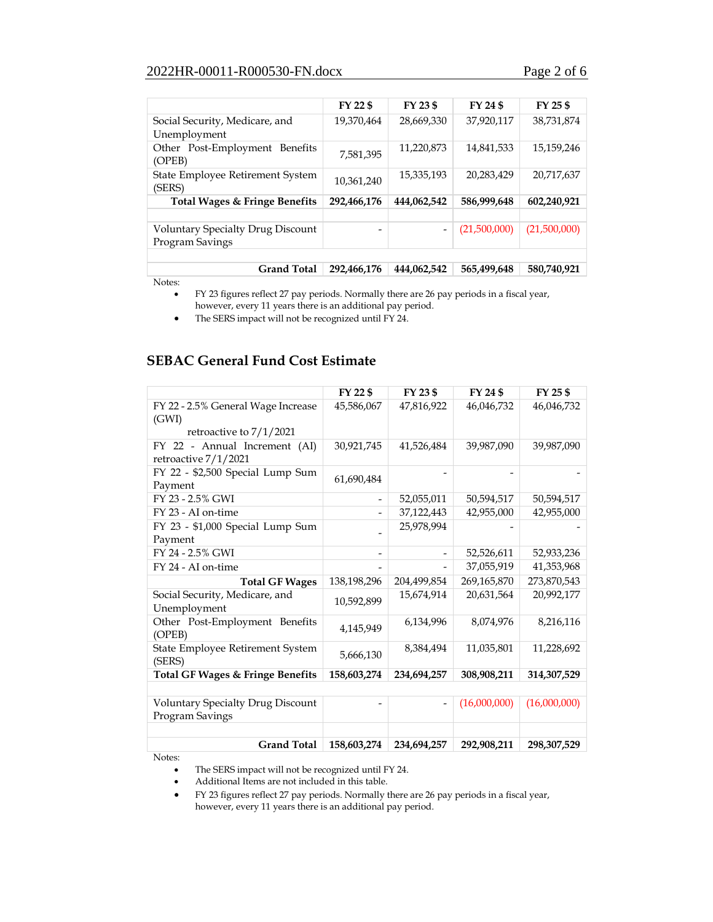#### 2022HR-00011-R000530-FN.docx Page 2 of 6

|                                                             | FY 22 \$    | FY 23 \$                     | FY 24 \$     | FY 25 \$     |
|-------------------------------------------------------------|-------------|------------------------------|--------------|--------------|
| Social Security, Medicare, and<br>Unemployment              | 19,370,464  | 28,669,330                   | 37,920,117   | 38,731,874   |
| Other Post-Employment Benefits<br>(OPEB)                    | 7,581,395   | 11,220,873                   | 14,841,533   | 15,159,246   |
| State Employee Retirement System<br>(SERS)                  | 10,361,240  | 15,335,193                   | 20,283,429   | 20,717,637   |
| Total Wages & Fringe Benefits                               | 292,466,176 | 444,062,542                  | 586,999,648  | 602,240,921  |
|                                                             |             |                              |              |              |
| <b>Voluntary Specialty Drug Discount</b><br>Program Savings |             | $\qquad \qquad \blacksquare$ | (21,500,000) | (21,500,000) |
|                                                             |             |                              |              |              |
| <b>Grand Total</b>                                          | 292,466,176 | 444,062,542                  | 565,499,648  | 580,740,921  |

Notes:

• FY 23 figures reflect 27 pay periods. Normally there are 26 pay periods in a fiscal year, however, every 11 years there is an additional pay period.

• The SERS impact will not be recognized until FY 24.

## **SEBAC General Fund Cost Estimate**

|                                                             | FY 22 \$                     | FY 23 \$                 | FY 24 \$     | FY 25 \$     |
|-------------------------------------------------------------|------------------------------|--------------------------|--------------|--------------|
| FY 22 - 2.5% General Wage Increase<br>(GWI)                 | 45,586,067                   | 47,816,922               | 46,046,732   | 46,046,732   |
| retroactive to 7/1/2021                                     |                              |                          |              |              |
| FY 22 - Annual Increment (AI)<br>retroactive 7/1/2021       | 30,921,745                   | 41,526,484               | 39,987,090   | 39,987,090   |
| FY 22 - \$2,500 Special Lump Sum<br>Payment                 | 61,690,484                   |                          |              |              |
| FY 23 - 2.5% GWI                                            | $\qquad \qquad \blacksquare$ | 52,055,011               | 50,594,517   | 50,594,517   |
| FY 23 - AI on-time                                          |                              | 37,122,443               | 42,955,000   | 42,955,000   |
| FY 23 - \$1,000 Special Lump Sum                            |                              | 25,978,994               |              |              |
| Payment                                                     |                              |                          |              |              |
| FY 24 - 2.5% GWI                                            |                              | $\qquad \qquad -$        | 52,526,611   | 52,933,236   |
| FY 24 - AI on-time                                          |                              |                          | 37,055,919   | 41,353,968   |
| <b>Total GF Wages</b>                                       | 138,198,296                  | 204,499,854              | 269,165,870  | 273,870,543  |
| Social Security, Medicare, and<br>Unemployment              | 10.592.899                   | 15,674,914               | 20,631,564   | 20,992,177   |
| Other Post-Employment Benefits<br>(OPEB)                    | 4,145,949                    | 6,134,996                | 8,074,976    | 8,216,116    |
| State Employee Retirement System<br>(SERS)                  | 5,666,130                    | 8,384,494                | 11,035,801   | 11,228,692   |
| <b>Total GF Wages &amp; Fringe Benefits</b>                 | 158,603,274                  | 234,694,257              | 308,908,211  | 314,307,529  |
|                                                             |                              |                          |              |              |
| <b>Voluntary Specialty Drug Discount</b><br>Program Savings |                              | $\overline{\phantom{m}}$ | (16,000,000) | (16,000,000) |
|                                                             |                              |                          |              |              |
| <b>Grand Total</b>                                          | 158,603,274                  | 234,694,257              | 292,908,211  | 298,307,529  |

Notes:

• The SERS impact will not be recognized until FY 24.

• Additional Items are not included in this table.

• FY 23 figures reflect 27 pay periods. Normally there are 26 pay periods in a fiscal year, however, every 11 years there is an additional pay period.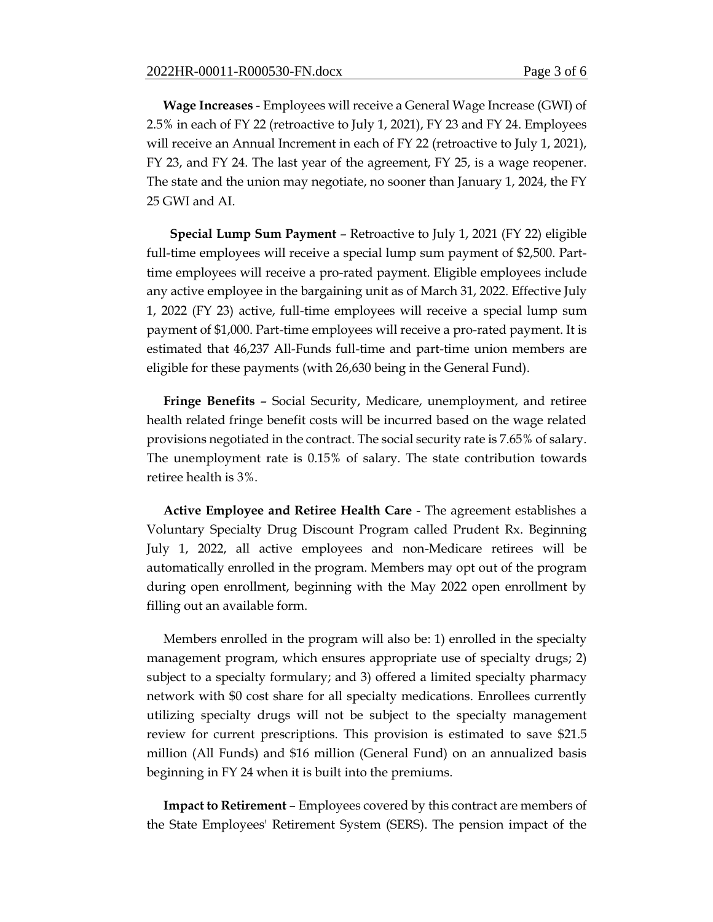**Wage Increases** - Employees will receive a General Wage Increase (GWI) of 2.5% in each of FY 22 (retroactive to July 1, 2021), FY 23 and FY 24. Employees will receive an Annual Increment in each of FY 22 (retroactive to July 1, 2021), FY 23, and FY 24. The last year of the agreement, FY 25, is a wage reopener. The state and the union may negotiate, no sooner than January 1, 2024, the FY 25 GWI and AI.

 **Special Lump Sum Payment** – Retroactive to July 1, 2021 (FY 22) eligible full-time employees will receive a special lump sum payment of \$2,500. Parttime employees will receive a pro-rated payment. Eligible employees include any active employee in the bargaining unit as of March 31, 2022. Effective July 1, 2022 (FY 23) active, full-time employees will receive a special lump sum payment of \$1,000. Part-time employees will receive a pro-rated payment. It is estimated that 46,237 All-Funds full-time and part-time union members are eligible for these payments (with 26,630 being in the General Fund).

**Fringe Benefits** – Social Security, Medicare, unemployment, and retiree health related fringe benefit costs will be incurred based on the wage related provisions negotiated in the contract. The social security rate is 7.65% of salary. The unemployment rate is 0.15% of salary. The state contribution towards retiree health is 3%.

**Active Employee and Retiree Health Care** - The agreement establishes a Voluntary Specialty Drug Discount Program called Prudent Rx. Beginning July 1, 2022, all active employees and non-Medicare retirees will be automatically enrolled in the program. Members may opt out of the program during open enrollment, beginning with the May 2022 open enrollment by filling out an available form.

Members enrolled in the program will also be: 1) enrolled in the specialty management program, which ensures appropriate use of specialty drugs; 2) subject to a specialty formulary; and 3) offered a limited specialty pharmacy network with \$0 cost share for all specialty medications. Enrollees currently utilizing specialty drugs will not be subject to the specialty management review for current prescriptions. This provision is estimated to save \$21.5 million (All Funds) and \$16 million (General Fund) on an annualized basis beginning in FY 24 when it is built into the premiums.

**Impact to Retirement** – Employees covered by this contract are members of the State Employees' Retirement System (SERS). The pension impact of the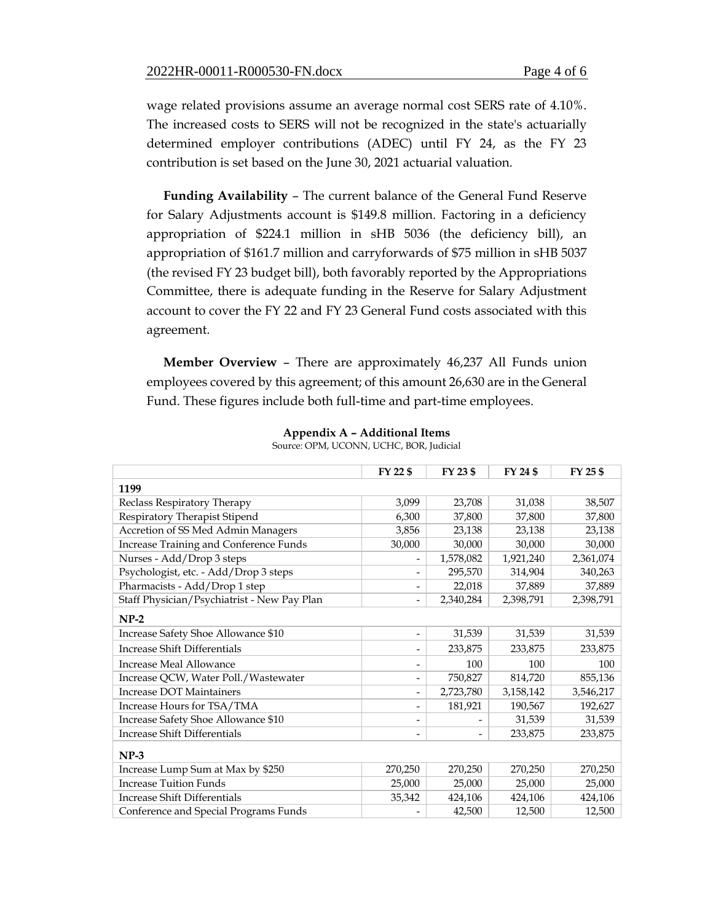wage related provisions assume an average normal cost SERS rate of 4.10%. The increased costs to SERS will not be recognized in the state's actuarially determined employer contributions (ADEC) until FY 24, as the FY 23 contribution is set based on the June 30, 2021 actuarial valuation.

**Funding Availability** – The current balance of the General Fund Reserve for Salary Adjustments account is \$149.8 million. Factoring in a deficiency appropriation of \$224.1 million in sHB 5036 (the deficiency bill), an appropriation of \$161.7 million and carryforwards of \$75 million in sHB 5037 (the revised FY 23 budget bill), both favorably reported by the Appropriations Committee, there is adequate funding in the Reserve for Salary Adjustment account to cover the FY 22 and FY 23 General Fund costs associated with this agreement.

**Member Overview** – There are approximately 46,237 All Funds union employees covered by this agreement; of this amount 26,630 are in the General Fund. These figures include both full-time and part-time employees.

|                                             | FY 22 \$                 | FY 23 \$                 | FY 24 \$  | FY 25 \$  |  |  |
|---------------------------------------------|--------------------------|--------------------------|-----------|-----------|--|--|
| 1199                                        |                          |                          |           |           |  |  |
| Reclass Respiratory Therapy                 | 3,099                    | 23,708                   | 31,038    | 38,507    |  |  |
| Respiratory Therapist Stipend               | 6,300                    | 37,800                   | 37,800    | 37,800    |  |  |
| Accretion of SS Med Admin Managers          | 3,856                    | 23,138                   | 23,138    | 23,138    |  |  |
| Increase Training and Conference Funds      | 30,000                   | 30,000                   | 30,000    | 30,000    |  |  |
| Nurses - Add/Drop 3 steps                   |                          | 1,578,082                | 1,921,240 | 2,361,074 |  |  |
| Psychologist, etc. - Add/Drop 3 steps       |                          | 295,570                  | 314,904   | 340,263   |  |  |
| Pharmacists - Add/Drop 1 step               |                          | 22,018                   | 37,889    | 37,889    |  |  |
| Staff Physician/Psychiatrist - New Pay Plan | -                        | 2,340,284                | 2,398,791 | 2,398,791 |  |  |
| $NP-2$                                      |                          |                          |           |           |  |  |
| Increase Safety Shoe Allowance \$10         | -                        | 31,539                   | 31,539    | 31,539    |  |  |
| <b>Increase Shift Differentials</b>         | -                        | 233,875                  | 233,875   | 233,875   |  |  |
| Increase Meal Allowance                     | -                        | 100                      | 100       | 100       |  |  |
| Increase QCW, Water Poll./Wastewater        | -                        | 750,827                  | 814,720   | 855,136   |  |  |
| <b>Increase DOT Maintainers</b>             | $\overline{\phantom{0}}$ | 2,723,780                | 3,158,142 | 3,546,217 |  |  |
| Increase Hours for TSA/TMA                  | -                        | 181,921                  | 190,567   | 192,627   |  |  |
| Increase Safety Shoe Allowance \$10         | $\overline{a}$           |                          | 31,539    | 31,539    |  |  |
| <b>Increase Shift Differentials</b>         | -                        | $\overline{\phantom{a}}$ | 233,875   | 233,875   |  |  |
| $NP-3$                                      |                          |                          |           |           |  |  |
| Increase Lump Sum at Max by \$250           | 270,250                  | 270,250                  | 270,250   | 270,250   |  |  |
| <b>Increase Tuition Funds</b>               | 25,000                   | 25,000                   | 25,000    | 25,000    |  |  |
| <b>Increase Shift Differentials</b>         | 35,342                   | 424,106                  | 424,106   | 424,106   |  |  |
| Conference and Special Programs Funds       |                          | 42,500                   | 12,500    | 12,500    |  |  |

**Appendix A – Additional Items** Source: OPM, UCONN, UCHC, BOR, Judicial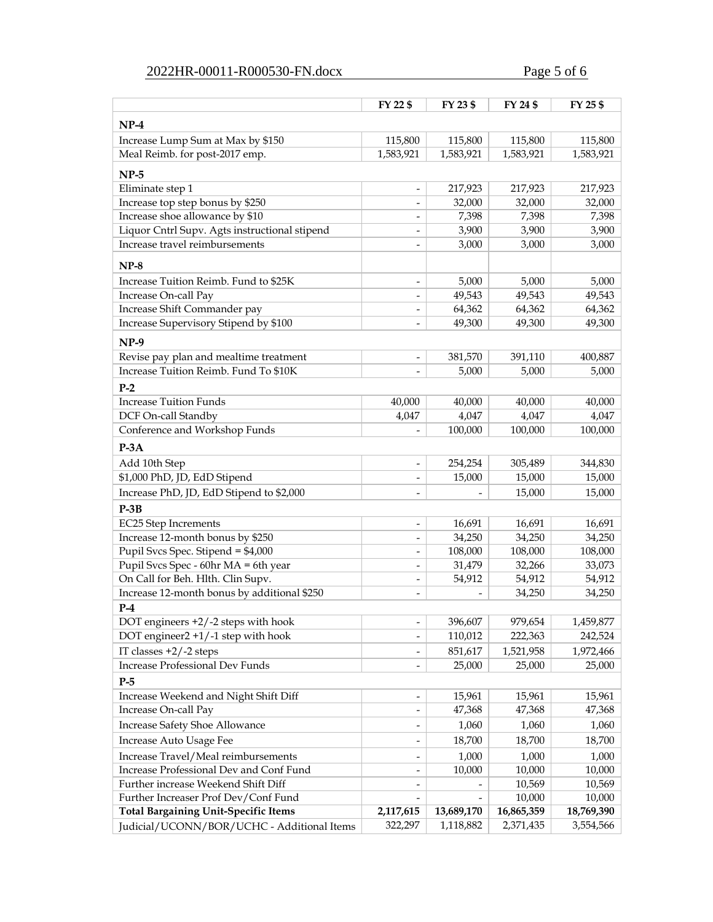# 2022HR-00011-R000530-FN.docx Page 5 of 6

|                                                                             | FY 22 \$                     | FY 23 \$             | FY 24 \$             | FY 25 \$             |
|-----------------------------------------------------------------------------|------------------------------|----------------------|----------------------|----------------------|
| $NP-4$                                                                      |                              |                      |                      |                      |
| Increase Lump Sum at Max by \$150                                           |                              |                      |                      |                      |
| Meal Reimb. for post-2017 emp.                                              | 115,800<br>1,583,921         | 115,800<br>1,583,921 | 115,800<br>1,583,921 | 115,800<br>1,583,921 |
|                                                                             |                              |                      |                      |                      |
| $NP-5$                                                                      |                              |                      |                      |                      |
| Eliminate step 1                                                            | $\qquad \qquad -$            | 217,923              | 217,923              | 217,923              |
| Increase top step bonus by \$250                                            | $\overline{\phantom{a}}$     | 32,000               | 32,000               | 32,000               |
| Increase shoe allowance by \$10                                             | $\overline{\phantom{a}}$     | 7,398                | 7,398                | 7,398                |
| Liquor Cntrl Supv. Agts instructional stipend                               | $\overline{\phantom{a}}$     | 3,900                | 3,900                | 3,900                |
| Increase travel reimbursements                                              | $\overline{\phantom{a}}$     | 3,000                | 3,000                | 3,000                |
| $NP-8$                                                                      |                              |                      |                      |                      |
| Increase Tuition Reimb. Fund to \$25K                                       |                              | 5,000                | 5,000                | 5,000                |
| Increase On-call Pay                                                        |                              | 49,543               | 49,543               | 49,543               |
| Increase Shift Commander pay                                                |                              | 64,362               | 64,362               | 64,362               |
| Increase Supervisory Stipend by \$100                                       |                              | 49,300               | 49,300               | 49,300               |
|                                                                             |                              |                      |                      |                      |
| $NP-9$                                                                      |                              |                      |                      |                      |
| Revise pay plan and mealtime treatment                                      | $\overline{\phantom{a}}$     | 381,570              | 391,110              | 400,887              |
| Increase Tuition Reimb. Fund To \$10K                                       | $\overline{a}$               | 5,000                | 5,000                | 5,000                |
| $P-2$                                                                       |                              |                      |                      |                      |
| <b>Increase Tuition Funds</b>                                               | 40,000                       | 40,000               | 40,000               | 40,000               |
| DCF On-call Standby                                                         | 4,047                        | 4,047                | 4,047                | 4,047                |
| Conference and Workshop Funds                                               |                              | 100,000              | 100,000              | 100,000              |
| $P-3A$                                                                      |                              |                      |                      |                      |
| Add 10th Step                                                               |                              | 254,254              | 305,489              | 344,830              |
| \$1,000 PhD, JD, EdD Stipend                                                |                              | 15,000               | 15,000               | 15,000               |
| Increase PhD, JD, EdD Stipend to \$2,000                                    |                              |                      | 15,000               | 15,000               |
| $P-3B$                                                                      |                              |                      |                      |                      |
| EC25 Step Increments                                                        | $\overline{\phantom{a}}$     | 16,691               | 16,691               | 16,691               |
| Increase 12-month bonus by \$250                                            | $\qquad \qquad \blacksquare$ | 34,250               | 34,250               | 34,250               |
| Pupil Svcs Spec. Stipend = \$4,000                                          | $\qquad \qquad \blacksquare$ | 108,000              | 108,000              | 108,000              |
| Pupil Svcs Spec - 60hr MA = 6th year                                        | $\qquad \qquad \blacksquare$ | 31,479               | 32,266               | 33,073               |
| On Call for Beh. Hlth. Clin Supv.                                           | $\qquad \qquad \blacksquare$ | 54,912               | 54,912               | 54,912               |
| Increase 12-month bonus by additional \$250                                 | $\overline{\phantom{a}}$     |                      | 34,250               | 34,250               |
| $P-4$                                                                       |                              |                      |                      |                      |
| DOT engineers $+2/-2$ steps with hook                                       | $\qquad \qquad -$            | 396,607              | 979,654              | 1,459,877            |
| DOT engineer2 +1/-1 step with hook                                          | $\overline{\phantom{a}}$     | 110,012              | 222,363              | 242,524              |
| IT classes $+2/-2$ steps                                                    |                              | 851,617              | 1,521,958            | 1,972,466            |
| Increase Professional Dev Funds                                             |                              | 25,000               | 25,000               | 25,000               |
| $P-5$                                                                       |                              |                      |                      |                      |
| Increase Weekend and Night Shift Diff                                       |                              | 15,961               | 15,961               | 15,961               |
| Increase On-call Pay                                                        |                              | 47,368               | 47,368               | 47,368               |
| <b>Increase Safety Shoe Allowance</b>                                       |                              | 1,060                | 1,060                |                      |
| Increase Auto Usage Fee                                                     |                              | 18,700               | 18,700               | 1,060<br>18,700      |
|                                                                             |                              |                      |                      |                      |
| Increase Travel/Meal reimbursements                                         |                              | 1,000                | 1,000                | 1,000                |
| Increase Professional Dev and Conf Fund                                     |                              | 10,000               | 10,000               | 10,000               |
| Further increase Weekend Shift Diff<br>Further Increaser Prof Dev/Conf Fund |                              |                      | 10,569               | 10,569               |
| <b>Total Bargaining Unit-Specific Items</b>                                 | 2,117,615                    | 13,689,170           | 10,000<br>16,865,359 | 10,000<br>18,769,390 |
|                                                                             | 322,297                      | 1,118,882            | 2,371,435            | 3,554,566            |
| Judicial/UCONN/BOR/UCHC - Additional Items                                  |                              |                      |                      |                      |